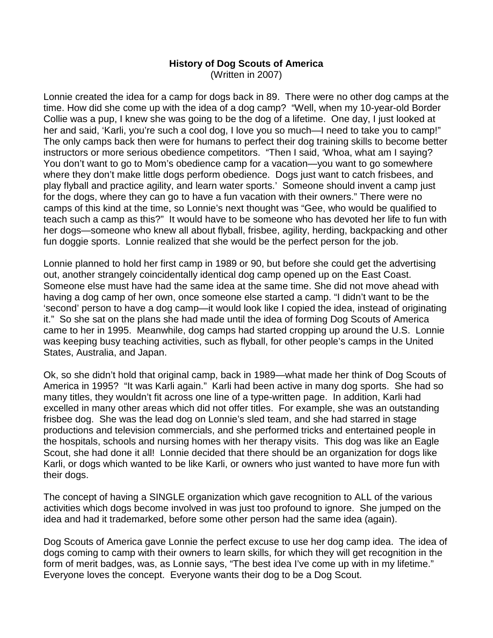## **History of Dog Scouts of America** (Written in 2007)

Lonnie created the idea for a camp for dogs back in 89. There were no other dog camps at the time. How did she come up with the idea of a dog camp? "Well, when my 10-year-old Border Collie was a pup, I knew she was going to be the dog of a lifetime. One day, I just looked at her and said, 'Karli, you're such a cool dog, I love you so much—I need to take you to camp!" The only camps back then were for humans to perfect their dog training skills to become better instructors or more serious obedience competitors. "Then I said, 'Whoa, what am I saying? You don't want to go to Mom's obedience camp for a vacation— you want to go somewhere where they don't make little dogs perform obedience. Dogs just want to catch frisbees, and play flyball and practice agility, and learn water sports.'Someone should invent a camp just for the dogs, where they can go to have a fun vacation with their owners."There were no camps of this kind at the time, so Lonnie's next thought was "Gee, who would be qualified to teach such a camp as this?" It would have to be someone who has devoted her life to fun with her dogs— someone who knew all about flyball, frisbee, agility, herding, backpacking and other fun doggie sports. Lonnie realized that she would be the perfect person for the job.

Lonnie planned to hold her first camp in 1989 or 90, but before she could get the advertising out, another strangely coincidentally identical dog camp opened up on the East Coast. Someone else must have had the same idea at the same time. She did not move ahead with having a dog camp of her own, once someone else started a camp. "I didn't want to be the 'second'person to have a dog camp— it would look like I copied the idea, instead of originating it." So she sat on the plans she had made until the idea of forming Dog Scouts of America came to her in 1995. Meanwhile, dog camps had started cropping up around the U.S. Lonnie was keeping busy teaching activities, such as flyball, for other people's camps in the United States, Australia, and Japan.

Ok, so she didn't hold that original camp, back in 1989— what made her think of Dog Scouts of America in 1995? "It was Karli again." Karli had been active in many dog sports. She had so many titles, they wouldn't fit across one line of a type-written page. In addition, Karli had excelled in many other areas which did not offer titles. For example, she was an outstanding frisbee dog. She was the lead dog on Lonnie's sled team, and she had starred in stage productions and television commercials, and she performed tricks and entertained people in the hospitals, schools and nursing homes with her therapy visits. This dog was like an Eagle Scout, she had done it all! Lonnie decided that there should be an organization for dogs like Karli, or dogs which wanted to be like Karli, or owners who just wanted to have more fun with their dogs.

The concept of having a SINGLE organization which gave recognition to ALL of the various activities which dogs become involved in was just too profound to ignore. She jumped on the idea and had it trademarked, before some other person had the same idea (again).

Dog Scouts of America gave Lonnie the perfect excuse to use her dog camp idea. The idea of dogs coming to camp with their owners to learn skills, for which they will get recognition in the form of merit badges, was, as Lonnie says, "The best idea I've come up with in my lifetime." Everyone loves the concept. Everyone wants their dog to be a Dog Scout.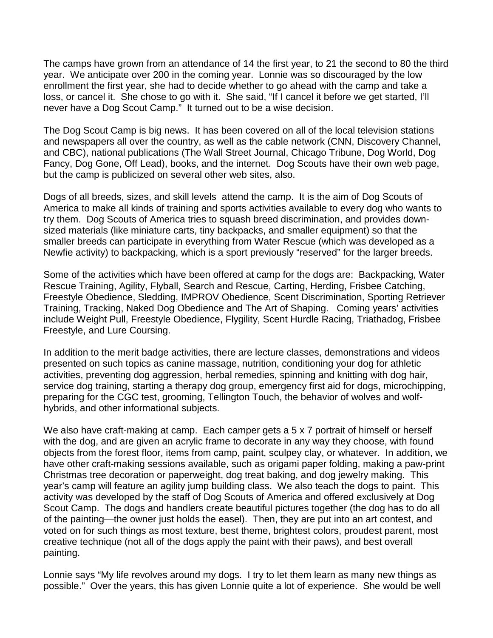The camps have grown from an attendance of 14 the first year, to 21 the second to 80 the third year. We anticipate over 200 in the coming year. Lonnie was so discouraged by the low enrollment the first year, she had to decide whether to go ahead with the camp and take a loss, or cancel it. She chose to go with it. She said, "If I cancel it before we get started, I'll never have a Dog Scout Camp." It turned out to be a wise decision.

The Dog Scout Camp is big news. It has been covered on all of the local television stations and newspapers all over the country, as well as the cable network (CNN, Discovery Channel, and CBC), national publications (The Wall Street Journal, Chicago Tribune, Dog World, Dog Fancy, Dog Gone, Off Lead), books, and the internet. Dog Scouts have their own web page, but the camp is publicized on several other web sites, also.

Dogs of all breeds, sizes, and skill levels attend the camp. It is the aim of Dog Scouts of America to make all kinds of training and sports activities available to every dog who wants to try them. Dog Scouts of America tries to squash breed discrimination, and provides downsized materials (like miniature carts, tiny backpacks, and smaller equipment) so that the smaller breeds can participate in everything from Water Rescue (which was developed as a Newfie activity) to backpacking, which is a sport previously "reserved" for the larger breeds.

Some of the activities which have been offered at camp for the dogs are: Backpacking, Water Rescue Training, Agility, Flyball, Search and Rescue, Carting, Herding, Frisbee Catching, Freestyle Obedience, Sledding, IMPROV Obedience, Scent Discrimination, Sporting Retriever Training, Tracking, Naked Dog Obedience and The Art of Shaping. Coming years'activities include Weight Pull, Freestyle Obedience, Flygility, Scent Hurdle Racing, Triathadog, Frisbee Freestyle, and Lure Coursing.

In addition to the merit badge activities, there are lecture classes, demonstrations and videos presented on such topics as canine massage, nutrition, conditioning your dog for athletic activities, preventing dog aggression, herbal remedies, spinning and knitting with dog hair, service dog training, starting a therapy dog group, emergency first aid for dogs, microchipping, preparing for the CGC test, grooming, Tellington Touch, the behavior of wolves and wolfhybrids, and other informational subjects.

We also have craft-making at camp. Each camper gets a 5 x 7 portrait of himself or herself with the dog, and are given an acrylic frame to decorate in any way they choose, with found objects from the forest floor, items from camp, paint, sculpey clay, or whatever. In addition, we have other craft-making sessions available, such as origami paper folding, making a paw-print Christmas tree decoration or paperweight, dog treat baking, and dog jewelry making. This year's camp will feature an agility jump building class. We also teach the dogs to paint. This activity was developed by the staff of Dog Scouts of America and offered exclusively at Dog Scout Camp. The dogs and handlers create beautiful pictures together (the dog has to do all of the painting— the owner just holds the easel). Then, they are put into an art contest, and voted on for such things as most texture, best theme, brightest colors, proudest parent, most creative technique (not all of the dogs apply the paint with their paws), and best overall painting.

Lonnie says "My life revolves around my dogs. I try to let them learn as many new things as possible." Over the years, this has given Lonnie quite a lot of experience. She would be well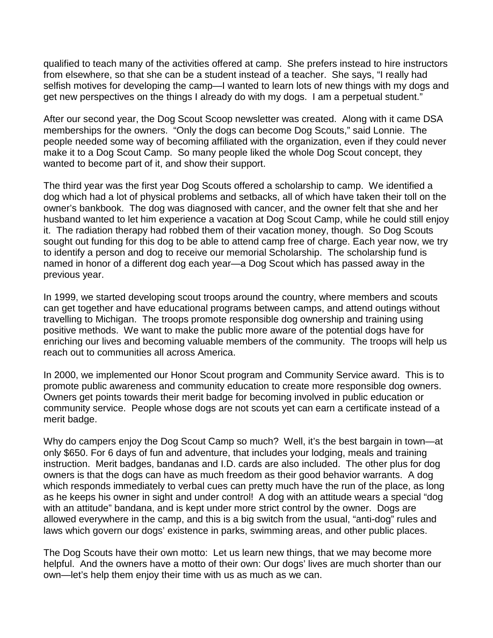qualified to teach many of the activities offered at camp. She prefers instead to hire instructors from elsewhere, so that she can be a student instead of a teacher. She says, "I really had selfish motives for developing the camp—I wanted to learn lots of new things with my dogs and get new perspectives on the things I already do with my dogs. I am a perpetual student."

After our second year, the Dog Scout Scoop newsletter was created. Along with it came DSA memberships for the owners. "Only the dogs can become Dog Scouts,"said Lonnie. The people needed some way of becoming affiliated with the organization, even if they could never make it to a Dog Scout Camp. So many people liked the whole Dog Scout concept, they wanted to become part of it, and show their support.

The third year was the first year Dog Scouts offered a scholarship to camp. We identified a dog which had a lot of physical problems and setbacks, all of which have taken their toll on the owner's bankbook. The dog was diagnosed with cancer, and the owner felt that she and her husband wanted to let him experience a vacation at Dog Scout Camp, while he could still enjoy it. The radiation therapy had robbed them of their vacation money, though. So Dog Scouts sought out funding for this dog to be able to attend camp free of charge. Each year now, we try to identify a person and dog to receive our memorial Scholarship. The scholarship fund is named in honor of a different dog each year— a Dog Scout which has passed away in the previous year.

In 1999, we started developing scout troops around the country, where members and scouts can get together and have educational programs between camps, and attend outings without travelling to Michigan. The troops promote responsible dog ownership and training using positive methods. We want to make the public more aware of the potential dogs have for enriching our lives and becoming valuable members of the community. The troops will help us reach out to communities all across America.

In 2000, we implemented our Honor Scout program and Community Service award. This is to promote public awareness and community education to create more responsible dog owners. Owners get points towards their merit badge for becoming involved in public education or community service. People whose dogs are not scouts yet can earn a certificate instead of a merit badge.

Why do campers enjoy the Dog Scout Camp so much? Well, it's the best bargain in town—at only \$650. For 6 days of fun and adventure, that includes your lodging, meals and training instruction. Merit badges, bandanas and I.D. cards are also included. The other plus for dog owners is that the dogs can have as much freedom as their good behavior warrants. A dog which responds immediately to verbal cues can pretty much have the run of the place, as long as he keeps his owner in sight and under control! A dog with an attitude wears a special "dog with an attitude" bandana, and is kept under more strict control by the owner. Dogs are allowed everywhere in the camp, and this is a big switch from the usual, "anti-dog"rules and laws which govern our dogs'existence in parks, swimming areas, and other public places.

The Dog Scouts have their own motto: Let us learn new things, that we may become more helpful. And the owners have a motto of their own: Our dogs' lives are much shorter than our own— let's help them enjoy their time with us as much as we can.